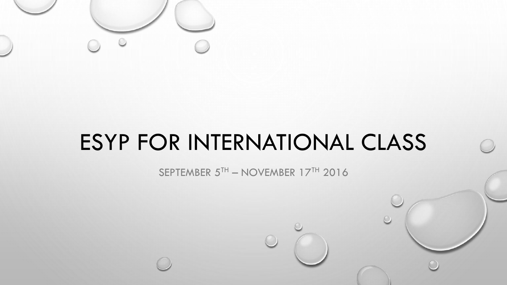

# ESYP FOR INTERNATIONAL CLASS

SEPTEMBER 5TH - NOVEMBER 17TH 2016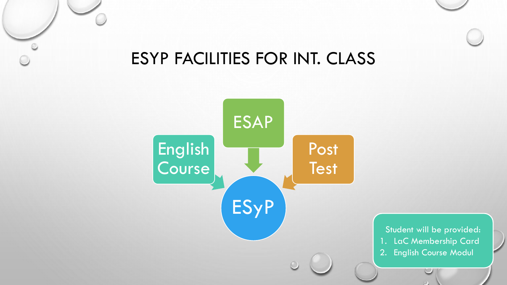## ESYP FACILITIES FOR INT. CLASS



 $\circ$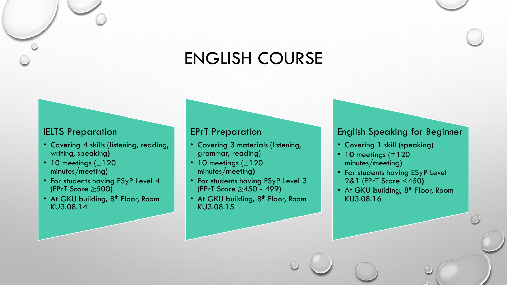# ENGLISH COURSE

#### IELTS Preparation

- Covering 4 skills (listening, reading, writing, speaking)
- 10 meetings  $(\pm 120)$ minutes/meeting)
- For students having ESyP Level 4 (EPrT Score ≥500)
- At GKU building,  $8<sup>th</sup>$  Floor, Room KU3.08.14

#### EPrT Preparation

- Covering 3 materials (listening, grammar, reading)
- 10 meetings (±120 minutes/meeting)
- For students having ESyP Level 3 (EPrT Score ≥450 - 499)
- At GKU building,  $8<sup>th</sup>$  Floor, Room KU3.08.15

#### English Speaking for Beginner

- Covering 1 skill (speaking)
- 10 meetings  $(\pm 120)$ minutes/meeting)
- For students having ESyP Level 2&1 (EPrT Score <450)
- At GKU building, 8<sup>th</sup> Floor, Room KU3.08.16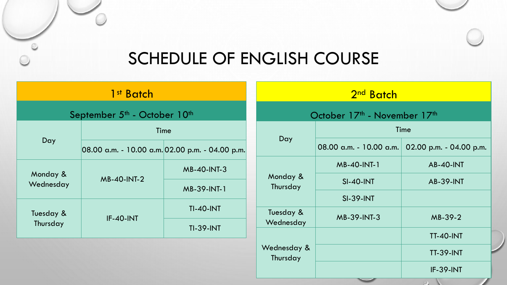## SCHEDULE OF ENGLISH COURSE

| 1 <sup>st</sup> Batch                                |                              |                                                     | 2 <sup>nd</sup> Batch        |                         |                         |
|------------------------------------------------------|------------------------------|-----------------------------------------------------|------------------------------|-------------------------|-------------------------|
| September 5 <sup>th</sup> - October 10 <sup>th</sup> |                              |                                                     | October 17th - November 17th |                         |                         |
| Day                                                  | Time                         |                                                     |                              | Time                    |                         |
|                                                      |                              | 08.00 a.m. - 10.00 a.m. 02.00 p.m. - 04.00 p.m.     | Day                          | 08.00 a.m. - 10.00 a.m. | 02.00 p.m. - 04.00 p.m. |
| Monday &<br>Wednesday<br>Tuesday &<br>Thursday       | $MB-40-INT-2$<br>$IF-40-INT$ | <b>MB-40-INT-3</b>                                  |                              | $MB-40-INT-1$           | <b>AB-40-INT</b>        |
|                                                      |                              | MB-39-INT-1<br><b>TI-40-INT</b><br><b>TI-39-INT</b> | Monday &<br>Thursday         | <b>SI-40-INT</b>        | <b>AB-39-INT</b>        |
|                                                      |                              |                                                     |                              | <b>SI-39-INT</b>        |                         |
|                                                      |                              |                                                     | Tuesday &<br>Wednesday       | <b>MB-39-INT-3</b>      | MB-39-2                 |
|                                                      |                              |                                                     |                              |                         | <b>TT-40-INT</b>        |
|                                                      |                              |                                                     | Wednesday &<br>Thursday      |                         | <b>TT-39-INT</b>        |
|                                                      |                              |                                                     |                              |                         | <b>IF-39-INT</b>        |

 $\circ$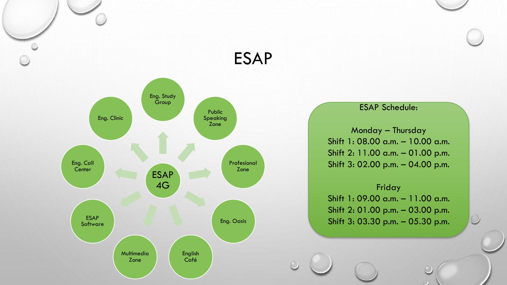### ESAP



ESAP Schedule:

Monday – Thursday Shift 1: 08.00 a.m. – 10.00 a.m. Shift 2: 11.00 a.m. – 01.00 p.m. Shift 3: 02.00 p.m. – 04.00 p.m.

Friday Shift 1: 09.00 a.m. – 11.00 a.m. Shift 2: 01.00 p.m. – 03.00 p.m. Shift 3: 03.30 p.m. – 05.30 p.m.

 $\bigcirc$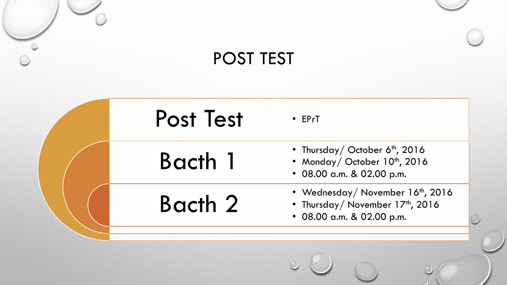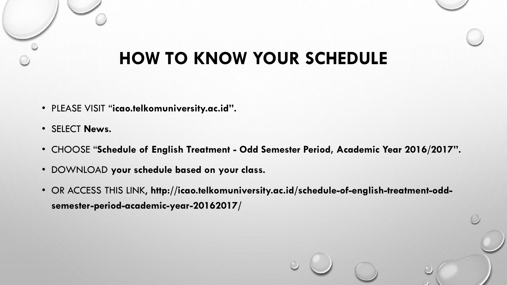# **HOW TO KNOW YOUR SCHEDULE**

- PLEASE VISIT "**icao.telkomuniversity.ac.id".**
- SELECT **News.**
- CHOOSE "**Schedule of English Treatment - Odd Semester Period, Academic Year 2016/2017".**
- DOWNLOAD **your schedule based on your class.**
- OR ACCESS THIS LINK, **http://icao.telkomuniversity.ac.id/schedule-of-english-treatment-oddsemester-period-academic-year-20162017/**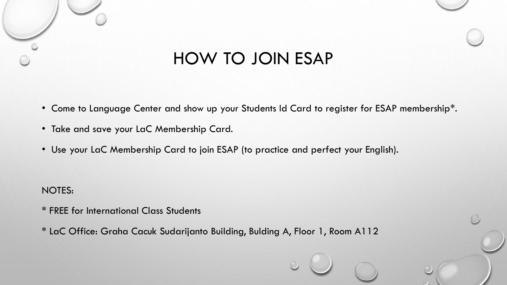

- Come to Language Center and show up your Students Id Card to register for ESAP membership\*.
- Take and save your LaC Membership Card.
- Use your LaC Membership Card to join ESAP (to practice and perfect your English).

NOTES:

\* FREE for International Class Students

\* LaC Office: Graha Cacuk Sudarijanto Building, Bulding A, Floor 1, Room A112